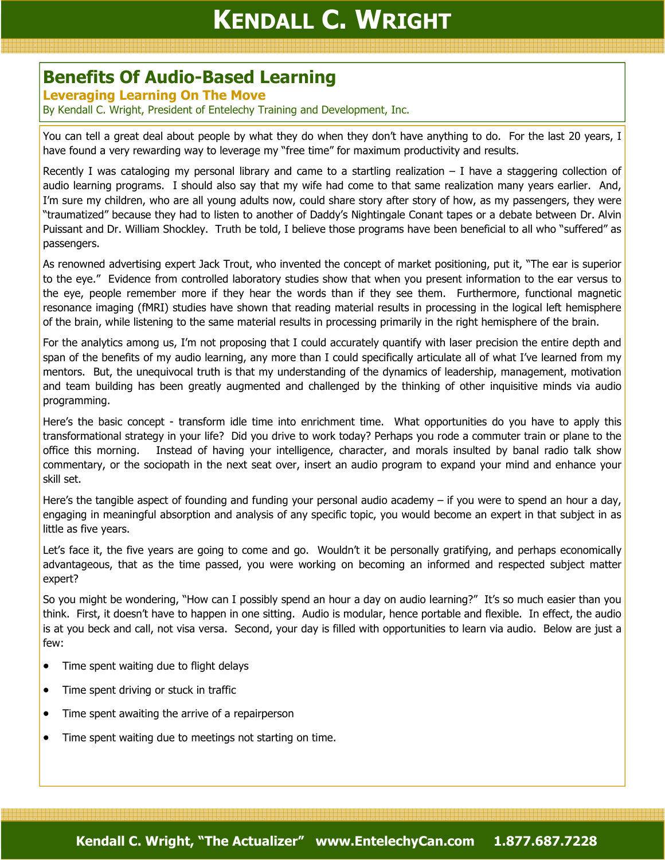## KENDALL C. WRIGHT

## Benefits Of Audio-Based Learning

## Leveraging Learning On The Move

By Kendall C. Wright, President of Entelechy Training and Development, Inc.

You can tell a great deal about people by what they do when they don't have anything to do. For the last 20 years, I have found a very rewarding way to leverage my "free time" for maximum productivity and results.

Recently I was cataloging my personal library and came to a startling realization  $-$  I have a staggering collection of audio learning programs. I should also say that my wife had come to that same realization many years earlier. And, I'm sure my children, who are all young adults now, could share story after story of how, as my passengers, they were "traumatized" because they had to listen to another of Daddy's Nightingale Conant tapes or a debate between Dr. Alvin Puissant and Dr. William Shockley. Truth be told, I believe those programs have been beneficial to all who "suffered" as passengers.

As renowned advertising expert Jack Trout, who invented the concept of market positioning, put it, "The ear is superior to the eye." Evidence from controlled laboratory studies show that when you present information to the ear versus to the eye, people remember more if they hear the words than if they see them. Furthermore, functional magnetic resonance imaging (fMRI) studies have shown that reading material results in processing in the logical left hemisphere of the brain, while listening to the same material results in processing primarily in the right hemisphere of the brain.

For the analytics among us, I'm not proposing that I could accurately quantify with laser precision the entire depth and span of the benefits of my audio learning, any more than I could specifically articulate all of what I've learned from my mentors. But, the unequivocal truth is that my understanding of the dynamics of leadership, management, motivation and team building has been greatly augmented and challenged by the thinking of other inquisitive minds via audio programming.

Here's the basic concept - transform idle time into enrichment time. What opportunities do you have to apply this transformational strategy in your life? Did you drive to work today? Perhaps you rode a commuter train or plane to the office this morning. Instead of having your intelligence, character, and morals insulted by banal radio talk show commentary, or the sociopath in the next seat over, insert an audio program to expand your mind and enhance your skill set.

Here's the tangible aspect of founding and funding your personal audio academy – if you were to spend an hour a day, engaging in meaningful absorption and analysis of any specific topic, you would become an expert in that subject in as little as five years.

Let's face it, the five years are going to come and go. Wouldn't it be personally gratifying, and perhaps economically advantageous, that as the time passed, you were working on becoming an informed and respected subject matter expert?

So you might be wondering, "How can I possibly spend an hour a day on audio learning?" It's so much easier than you think. First, it doesn't have to happen in one sitting. Audio is modular, hence portable and flexible. In effect, the audio is at you beck and call, not visa versa. Second, your day is filled with opportunities to learn via audio. Below are just a few:

- Time spent waiting due to flight delays
- Time spent driving or stuck in traffic
- Time spent awaiting the arrive of a repairperson
- Time spent waiting due to meetings not starting on time.